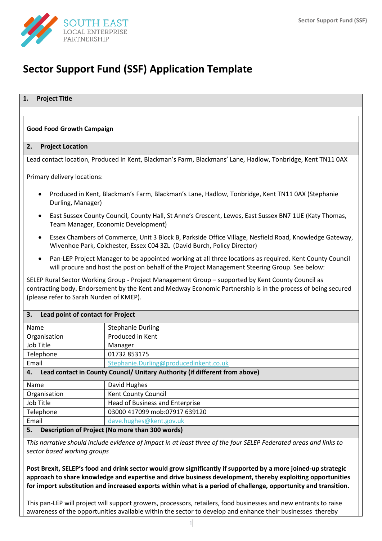

# **Sector Support Fund (SSF) Application Template**

## **1. Project Title**

## **Good Food Growth Campaign**

#### **2. Project Location**

Lead contact location, Produced in Kent, Blackman's Farm, Blackmans' Lane, Hadlow, Tonbridge, Kent TN11 0AX

Primary delivery locations:

- Produced in Kent, Blackman's Farm, Blackman's Lane, Hadlow, Tonbridge, Kent TN11 0AX (Stephanie Durling, Manager)
- East Sussex County Council, County Hall, St Anne's Crescent, Lewes, East Sussex BN7 1UE (Katy Thomas, Team Manager, Economic Development)
- Essex Chambers of Commerce, Unit 3 Block B, Parkside Office Village, Nesfield Road, Knowledge Gateway, Wivenhoe Park, Colchester, Essex C04 3ZL (David Burch, Policy Director)
- Pan-LEP Project Manager to be appointed working at all three locations as required. Kent County Council will procure and host the post on behalf of the Project Management Steering Group. See below:

SELEP Rural Sector Working Group - Project Management Group – supported by Kent County Council as contracting body. Endorsement by the Kent and Medway Economic Partnership is in the process of being secured (please refer to Sarah Nurden of KMEP).

| Lead point of contact for Project<br>3.                                           |                                        |  |  |
|-----------------------------------------------------------------------------------|----------------------------------------|--|--|
| <b>Name</b>                                                                       | <b>Stephanie Durling</b>               |  |  |
| Organisation                                                                      | Produced in Kent                       |  |  |
| Job Title                                                                         | Manager                                |  |  |
| Telephone                                                                         | 01732 853175                           |  |  |
| Email                                                                             | Stephanie.Durling@producedinkent.co.uk |  |  |
| Lead contact in County Council/ Unitary Authority (if different from above)<br>4. |                                        |  |  |
| Name                                                                              | David Hughes                           |  |  |
| Organisation                                                                      | Kent County Council                    |  |  |
| Job Title                                                                         | Head of Business and Enterprise        |  |  |
| Telephone                                                                         | 03000 417099 mob:07917 639120          |  |  |
| Email                                                                             | dave.hughes@kent.gov.uk                |  |  |
| Description of Project (No more than 300 words)<br>5.                             |                                        |  |  |

*This narrative should include evidence of impact in at least three of the four SELEP Federated areas and links to sector based working groups*

**Post Brexit, SELEP's food and drink sector would grow significantly if supported by a more joined-up strategic approach to share knowledge and expertise and drive business development, thereby exploiting opportunities for import substitution and increased exports within what is a period of challenge, opportunity and transition.** 

This pan-LEP will project will support growers, processors, retailers, food businesses and new entrants to raise awareness of the opportunities available within the sector to develop and enhance their businesses thereby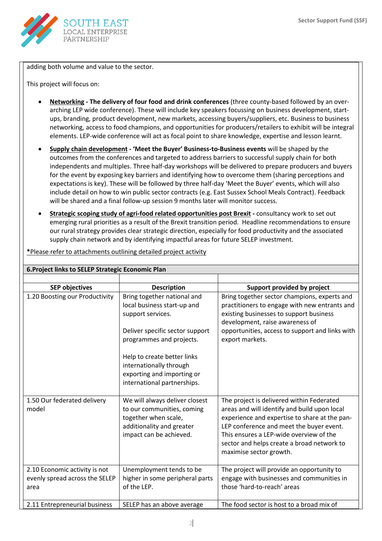

adding both volume and value to the sector.

This project will focus on:

- **Networking - The delivery of four food and drink conferences** (three county-based followed by an overarching LEP wide conference). These will include key speakers focussing on business development, startups, branding, product development, new markets, accessing buyers/suppliers, etc. Business to business networking, access to food champions, and opportunities for producers/retailers to exhibit will be integral elements. LEP-wide conference will act as focal point to share knowledge, expertise and lesson learnt.
- **Supply chain development - 'Meet the Buyer' Business-to-Business events** will be shaped by the outcomes from the conferences and targeted to address barriers to successful supply chain for both independents and multiples. Three half-day workshops will be delivered to prepare producers and buyers for the event by exposing key barriers and identifying how to overcome them (sharing perceptions and expectations is key). These will be followed by three half-day 'Meet the Buyer' events, which will also include detail on how to win public sector contracts (e.g. East Sussex School Meals Contract). Feedback will be shared and a final follow-up session 9 months later will monitor success.
- **Strategic scoping study of agri-food related opportunities post Brexit -** consultancy work to set out emerging rural priorities as a result of the Brexit transition period. Headline recommendations to ensure our rural strategy provides clear strategic direction, especially for food productivity and the associated supply chain network and by identifying impactful areas for future SELEP investment.

| 6. Project links to SELEP Strategic Economic Plan                                                                                                                                                                                                                                                       |                                                                                                                                              |                                                                                                                                                                                                                                                                                                            |  |
|---------------------------------------------------------------------------------------------------------------------------------------------------------------------------------------------------------------------------------------------------------------------------------------------------------|----------------------------------------------------------------------------------------------------------------------------------------------|------------------------------------------------------------------------------------------------------------------------------------------------------------------------------------------------------------------------------------------------------------------------------------------------------------|--|
|                                                                                                                                                                                                                                                                                                         |                                                                                                                                              |                                                                                                                                                                                                                                                                                                            |  |
| <b>SEP objectives</b>                                                                                                                                                                                                                                                                                   | <b>Description</b>                                                                                                                           | Support provided by project                                                                                                                                                                                                                                                                                |  |
| 1.20 Boosting our Productivity<br>Bring together national and<br>local business start-up and<br>support services.<br>Deliver specific sector support<br>programmes and projects.<br>Help to create better links<br>internationally through<br>exporting and importing or<br>international partnerships. |                                                                                                                                              | Bring together sector champions, experts and<br>practitioners to engage with new entrants and<br>existing businesses to support business<br>development, raise awareness of<br>opportunities, access to support and links with<br>export markets.                                                          |  |
| 1.50 Our federated delivery<br>model                                                                                                                                                                                                                                                                    | We will always deliver closest<br>to our communities, coming<br>together when scale,<br>additionality and greater<br>impact can be achieved. | The project is delivered within Federated<br>areas and will identify and build upon local<br>experience and expertise to share at the pan-<br>LEP conference and meet the buyer event.<br>This ensures a LEP-wide overview of the<br>sector and helps create a broad network to<br>maximise sector growth. |  |
| 2.10 Economic activity is not<br>evenly spread across the SELEP<br>area                                                                                                                                                                                                                                 | Unemployment tends to be<br>higher in some peripheral parts<br>of the LEP.                                                                   | The project will provide an opportunity to<br>engage with businesses and communities in<br>those 'hard-to-reach' areas                                                                                                                                                                                     |  |
| 2.11 Entrepreneurial business                                                                                                                                                                                                                                                                           | SELEP has an above average                                                                                                                   | The food sector is host to a broad mix of                                                                                                                                                                                                                                                                  |  |

**\***Please refer to attachments outlining detailed project activity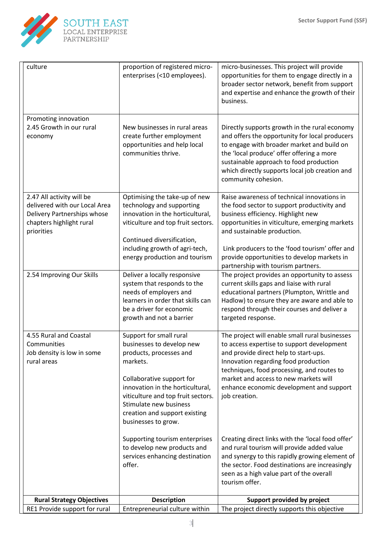

| culture                                                                                                                             | proportion of registered micro-<br>enterprises (<10 employees).                                                                                                                                                                                                                      | micro-businesses. This project will provide<br>opportunities for them to engage directly in a<br>broader sector network, benefit from support<br>and expertise and enhance the growth of their<br>business.                                                                                                                                              |
|-------------------------------------------------------------------------------------------------------------------------------------|--------------------------------------------------------------------------------------------------------------------------------------------------------------------------------------------------------------------------------------------------------------------------------------|----------------------------------------------------------------------------------------------------------------------------------------------------------------------------------------------------------------------------------------------------------------------------------------------------------------------------------------------------------|
| Promoting innovation<br>2.45 Growth in our rural<br>economy                                                                         | New businesses in rural areas<br>create further employment<br>opportunities and help local<br>communities thrive.                                                                                                                                                                    | Directly supports growth in the rural economy<br>and offers the opportunity for local producers<br>to engage with broader market and build on<br>the 'local produce' offer offering a more<br>sustainable approach to food production<br>which directly supports local job creation and<br>community cohesion.                                           |
| 2.47 All activity will be<br>delivered with our Local Area<br>Delivery Partnerships whose<br>chapters highlight rural<br>priorities | Optimising the take-up of new<br>technology and supporting<br>innovation in the horticultural,<br>viticulture and top fruit sectors.<br>Continued diversification,<br>including growth of agri-tech,<br>energy production and tourism                                                | Raise awareness of technical innovations in<br>the food sector to support productivity and<br>business efficiency. Highlight new<br>opportunities in viticulture, emerging markets<br>and sustainable production.<br>Link producers to the 'food tourism' offer and<br>provide opportunities to develop markets in<br>partnership with tourism partners. |
| 2.54 Improving Our Skills                                                                                                           | Deliver a locally responsive<br>system that responds to the<br>needs of employers and<br>learners in order that skills can<br>be a driver for economic<br>growth and not a barrier                                                                                                   | The project provides an opportunity to assess<br>current skills gaps and liaise with rural<br>educational partners (Plumpton, Writtle and<br>Hadlow) to ensure they are aware and able to<br>respond through their courses and deliver a<br>targeted response.                                                                                           |
| 4.55 Rural and Coastal<br>Communities<br>Job density is low in some<br>rural areas                                                  | Support for small rural<br>businesses to develop new<br>products, processes and<br>markets.<br>Collaborative support for<br>innovation in the horticultural,<br>viticulture and top fruit sectors.<br>Stimulate new business<br>creation and support existing<br>businesses to grow. | The project will enable small rural businesses<br>to access expertise to support development<br>and provide direct help to start-ups.<br>Innovation regarding food production<br>techniques, food processing, and routes to<br>market and access to new markets will<br>enhance economic development and support<br>job creation.                        |
|                                                                                                                                     | Supporting tourism enterprises<br>to develop new products and<br>services enhancing destination<br>offer.                                                                                                                                                                            | Creating direct links with the 'local food offer'<br>and rural tourism will provide added value<br>and synergy to this rapidly growing element of<br>the sector. Food destinations are increasingly<br>seen as a high value part of the overall<br>tourism offer.                                                                                        |
| <b>Rural Strategy Objectives</b><br>RE1 Provide support for rural                                                                   | <b>Description</b><br>Entrepreneurial culture within                                                                                                                                                                                                                                 | Support provided by project<br>The project directly supports this objective                                                                                                                                                                                                                                                                              |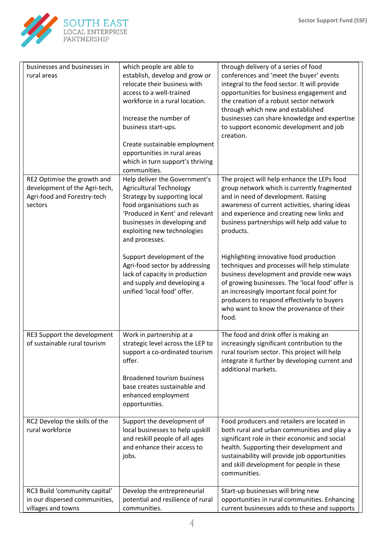

| businesses and businesses in<br>rural areas                                                            | which people are able to<br>establish, develop and grow or<br>relocate their business with<br>access to a well-trained<br>workforce in a rural location.<br>Increase the number of<br>business start-ups.<br>Create sustainable employment<br>opportunities in rural areas<br>which in turn support's thriving<br>communities. | through delivery of a series of food<br>conferences and 'meet the buyer' events<br>integral to the food sector. It will provide<br>opportunities for business engagement and<br>the creation of a robust sector network<br>through which new and established<br>businesses can share knowledge and expertise<br>to support economic development and job<br>creation. |
|--------------------------------------------------------------------------------------------------------|--------------------------------------------------------------------------------------------------------------------------------------------------------------------------------------------------------------------------------------------------------------------------------------------------------------------------------|----------------------------------------------------------------------------------------------------------------------------------------------------------------------------------------------------------------------------------------------------------------------------------------------------------------------------------------------------------------------|
| RE2 Optimise the growth and<br>development of the Agri-tech,<br>Agri-food and Forestry-tech<br>sectors | Help deliver the Government's<br><b>Agricultural Technology</b><br>Strategy by supporting local<br>food organisations such as<br>'Produced in Kent' and relevant<br>businesses in developing and<br>exploiting new technologies<br>and processes.                                                                              | The project will help enhance the LEPs food<br>group network which is currently fragmented<br>and in need of development. Raising<br>awareness of current activities, sharing ideas<br>and experience and creating new links and<br>business partnerships will help add value to<br>products.                                                                        |
|                                                                                                        | Support development of the<br>Agri-food sector by addressing<br>lack of capacity in production<br>and supply and developing a<br>unified 'local food' offer.                                                                                                                                                                   | Highlighting innovative food production<br>techniques and processes will help stimulate<br>business development and provide new ways<br>of growing businesses. The 'local food' offer is<br>an increasingly important focal point for<br>producers to respond effectively to buyers<br>who want to know the provenance of their<br>food.                             |
| RE3 Support the development<br>of sustainable rural tourism                                            | Work in partnership at a<br>strategic level across the LEP to<br>support a co-ordinated tourism<br>offer.<br><b>Broadened tourism business</b><br>base creates sustainable and<br>enhanced employment<br>opportunities.                                                                                                        | The food and drink offer is making an<br>increasingly significant contribution to the<br>rural tourism sector. This project will help<br>integrate it further by developing current and<br>additional markets.                                                                                                                                                       |
| RC2 Develop the skills of the<br>rural workforce                                                       | Support the development of<br>local businesses to help upskill<br>and reskill people of all ages<br>and enhance their access to<br>jobs.                                                                                                                                                                                       | Food producers and retailers are located in<br>both rural and urban communities and play a<br>significant role in their economic and social<br>health. Supporting their development and<br>sustainability will provide job opportunities<br>and skill development for people in these<br>communities.                                                                |
| RC3 Build 'community capital'<br>in our dispersed communities,<br>villages and towns                   | Develop the entrepreneurial<br>potential and resilience of rural<br>communities.                                                                                                                                                                                                                                               | Start-up businesses will bring new<br>opportunities in rural communities. Enhancing<br>current businesses adds to these and supports                                                                                                                                                                                                                                 |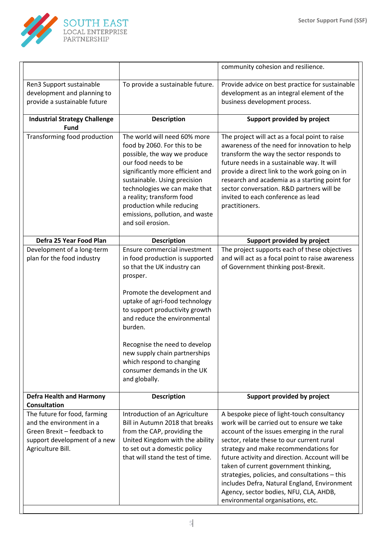

|                                                                                                                                             |                                                                                                                                                                                                                                                                                                                                                                                                        | community cohesion and resilience.                                                                                                                                                                                                                                                                                                                                                                                                                                                                        |
|---------------------------------------------------------------------------------------------------------------------------------------------|--------------------------------------------------------------------------------------------------------------------------------------------------------------------------------------------------------------------------------------------------------------------------------------------------------------------------------------------------------------------------------------------------------|-----------------------------------------------------------------------------------------------------------------------------------------------------------------------------------------------------------------------------------------------------------------------------------------------------------------------------------------------------------------------------------------------------------------------------------------------------------------------------------------------------------|
| Ren3 Support sustainable<br>development and planning to<br>provide a sustainable future                                                     | To provide a sustainable future.                                                                                                                                                                                                                                                                                                                                                                       | Provide advice on best practice for sustainable<br>development as an integral element of the<br>business development process.                                                                                                                                                                                                                                                                                                                                                                             |
| <b>Industrial Strategy Challenge</b><br><b>Fund</b>                                                                                         | <b>Description</b>                                                                                                                                                                                                                                                                                                                                                                                     | Support provided by project                                                                                                                                                                                                                                                                                                                                                                                                                                                                               |
| Transforming food production                                                                                                                | The world will need 60% more<br>food by 2060. For this to be<br>possible, the way we produce<br>our food needs to be<br>significantly more efficient and<br>sustainable. Using precision<br>technologies we can make that<br>a reality; transform food<br>production while reducing<br>emissions, pollution, and waste<br>and soil erosion.                                                            | The project will act as a focal point to raise<br>awareness of the need for innovation to help<br>transform the way the sector responds to<br>future needs in a sustainable way. It will<br>provide a direct link to the work going on in<br>research and academia as a starting point for<br>sector conversation. R&D partners will be<br>invited to each conference as lead<br>practitioners.                                                                                                           |
| Defra 25 Year Food Plan                                                                                                                     | <b>Description</b>                                                                                                                                                                                                                                                                                                                                                                                     | Support provided by project                                                                                                                                                                                                                                                                                                                                                                                                                                                                               |
| Development of a long-term<br>plan for the food industry                                                                                    | Ensure commercial investment<br>in food production is supported<br>so that the UK industry can<br>prosper.<br>Promote the development and<br>uptake of agri-food technology<br>to support productivity growth<br>and reduce the environmental<br>burden.<br>Recognise the need to develop<br>new supply chain partnerships<br>which respond to changing<br>consumer demands in the UK<br>and globally. | The project supports each of these objectives<br>and will act as a focal point to raise awareness<br>of Government thinking post-Brexit.                                                                                                                                                                                                                                                                                                                                                                  |
| <b>Defra Health and Harmony</b><br>Consultation                                                                                             | <b>Description</b>                                                                                                                                                                                                                                                                                                                                                                                     | Support provided by project                                                                                                                                                                                                                                                                                                                                                                                                                                                                               |
| The future for food, farming<br>and the environment in a<br>Green Brexit - feedback to<br>support development of a new<br>Agriculture Bill. | Introduction of an Agriculture<br>Bill in Autumn 2018 that breaks<br>from the CAP, providing the<br>United Kingdom with the ability<br>to set out a domestic policy<br>that will stand the test of time.                                                                                                                                                                                               | A bespoke piece of light-touch consultancy<br>work will be carried out to ensure we take<br>account of the issues emerging in the rural<br>sector, relate these to our current rural<br>strategy and make recommendations for<br>future activity and direction. Account will be<br>taken of current government thinking,<br>strategies, policies, and consultations - this<br>includes Defra, Natural England, Environment<br>Agency, sector bodies, NFU, CLA, AHDB,<br>environmental organisations, etc. |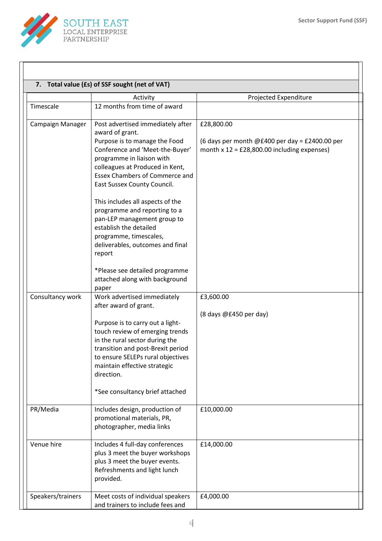

|                   | 7. Total value (£s) of SSF sought (net of VAT)                                                                                                                                                                                                                                                                                                                                                                          |                                                                                                               |
|-------------------|-------------------------------------------------------------------------------------------------------------------------------------------------------------------------------------------------------------------------------------------------------------------------------------------------------------------------------------------------------------------------------------------------------------------------|---------------------------------------------------------------------------------------------------------------|
| Timescale         | Activity<br>12 months from time of award                                                                                                                                                                                                                                                                                                                                                                                | Projected Expenditure                                                                                         |
|                   |                                                                                                                                                                                                                                                                                                                                                                                                                         |                                                                                                               |
| Campaign Manager  | Post advertised immediately after<br>award of grant.<br>Purpose is to manage the Food<br>Conference and 'Meet-the-Buyer'<br>programme in liaison with<br>colleagues at Produced in Kent,<br><b>Essex Chambers of Commerce and</b><br>East Sussex County Council.<br>This includes all aspects of the<br>programme and reporting to a<br>pan-LEP management group to<br>establish the detailed<br>programme, timescales, | £28,800.00<br>(6 days per month @£400 per day = £2400.00 per<br>month $x$ 12 = £28,800.00 including expenses) |
| Consultancy work  | deliverables, outcomes and final<br>report<br>*Please see detailed programme<br>attached along with background<br>paper<br>Work advertised immediately                                                                                                                                                                                                                                                                  | £3,600.00                                                                                                     |
|                   | after award of grant.<br>Purpose is to carry out a light-<br>touch review of emerging trends<br>in the rural sector during the<br>transition and post-Brexit period<br>to ensure SELEPs rural objectives<br>maintain effective strategic<br>direction.<br>*See consultancy brief attached                                                                                                                               | (8 days @£450 per day)                                                                                        |
| PR/Media          | Includes design, production of<br>promotional materials, PR,<br>photographer, media links                                                                                                                                                                                                                                                                                                                               | £10,000.00                                                                                                    |
| Venue hire        | Includes 4 full-day conferences<br>plus 3 meet the buyer workshops<br>plus 3 meet the buyer events.<br>Refreshments and light lunch<br>provided.                                                                                                                                                                                                                                                                        | £14,000.00                                                                                                    |
| Speakers/trainers | Meet costs of individual speakers<br>and trainers to include fees and                                                                                                                                                                                                                                                                                                                                                   | £4,000.00                                                                                                     |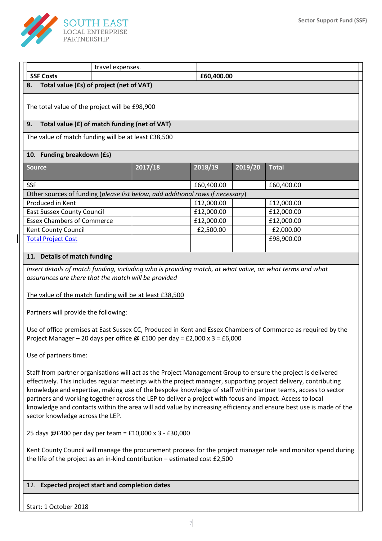

|                                                                                                                                                                                                                                                                                                                                                                                                                                                                                                                                                                                                                      | travel expenses.                     |                                                                                |            |         |              |
|----------------------------------------------------------------------------------------------------------------------------------------------------------------------------------------------------------------------------------------------------------------------------------------------------------------------------------------------------------------------------------------------------------------------------------------------------------------------------------------------------------------------------------------------------------------------------------------------------------------------|--------------------------------------|--------------------------------------------------------------------------------|------------|---------|--------------|
| <b>SSF Costs</b>                                                                                                                                                                                                                                                                                                                                                                                                                                                                                                                                                                                                     |                                      |                                                                                | £60,400.00 |         |              |
| Total value (£s) of project (net of VAT)<br>8.                                                                                                                                                                                                                                                                                                                                                                                                                                                                                                                                                                       |                                      |                                                                                |            |         |              |
| The total value of the project will be £98,900                                                                                                                                                                                                                                                                                                                                                                                                                                                                                                                                                                       |                                      |                                                                                |            |         |              |
| Total value (£) of match funding (net of VAT)<br>9.                                                                                                                                                                                                                                                                                                                                                                                                                                                                                                                                                                  |                                      |                                                                                |            |         |              |
| The value of match funding will be at least £38,500                                                                                                                                                                                                                                                                                                                                                                                                                                                                                                                                                                  |                                      |                                                                                |            |         |              |
| 10. Funding breakdown (£s)                                                                                                                                                                                                                                                                                                                                                                                                                                                                                                                                                                                           |                                      |                                                                                |            |         |              |
| <b>Source</b>                                                                                                                                                                                                                                                                                                                                                                                                                                                                                                                                                                                                        |                                      | 2017/18                                                                        | 2018/19    | 2019/20 | <b>Total</b> |
|                                                                                                                                                                                                                                                                                                                                                                                                                                                                                                                                                                                                                      |                                      |                                                                                |            |         |              |
| <b>SSF</b>                                                                                                                                                                                                                                                                                                                                                                                                                                                                                                                                                                                                           |                                      |                                                                                | £60,400.00 |         | £60,400.00   |
|                                                                                                                                                                                                                                                                                                                                                                                                                                                                                                                                                                                                                      |                                      | Other sources of funding (please list below, add additional rows if necessary) |            |         |              |
| Produced in Kent                                                                                                                                                                                                                                                                                                                                                                                                                                                                                                                                                                                                     |                                      |                                                                                | £12,000.00 |         | £12,000.00   |
| <b>East Sussex County Council</b>                                                                                                                                                                                                                                                                                                                                                                                                                                                                                                                                                                                    |                                      |                                                                                | £12,000.00 |         | £12,000.00   |
| <b>Essex Chambers of Commerce</b>                                                                                                                                                                                                                                                                                                                                                                                                                                                                                                                                                                                    |                                      |                                                                                | £12,000.00 |         | £12,000.00   |
| Kent County Council                                                                                                                                                                                                                                                                                                                                                                                                                                                                                                                                                                                                  |                                      |                                                                                | £2,500.00  |         | £2,000.00    |
| <b>Total Project Cost</b>                                                                                                                                                                                                                                                                                                                                                                                                                                                                                                                                                                                            |                                      |                                                                                |            |         | £98,900.00   |
|                                                                                                                                                                                                                                                                                                                                                                                                                                                                                                                                                                                                                      |                                      |                                                                                |            |         |              |
| 11. Details of match funding                                                                                                                                                                                                                                                                                                                                                                                                                                                                                                                                                                                         |                                      |                                                                                |            |         |              |
| Insert details of match funding, including who is providing match, at what value, on what terms and what<br>assurances are there that the match will be provided<br>The value of the match funding will be at least £38,500                                                                                                                                                                                                                                                                                                                                                                                          |                                      |                                                                                |            |         |              |
|                                                                                                                                                                                                                                                                                                                                                                                                                                                                                                                                                                                                                      | Partners will provide the following: |                                                                                |            |         |              |
| Use of office premises at East Sussex CC, Produced in Kent and Essex Chambers of Commerce as required by the<br>Project Manager - 20 days per office @ £100 per day = £2,000 x 3 = £6,000                                                                                                                                                                                                                                                                                                                                                                                                                            |                                      |                                                                                |            |         |              |
| Use of partners time:                                                                                                                                                                                                                                                                                                                                                                                                                                                                                                                                                                                                |                                      |                                                                                |            |         |              |
| Staff from partner organisations will act as the Project Management Group to ensure the project is delivered<br>effectively. This includes regular meetings with the project manager, supporting project delivery, contributing<br>knowledge and expertise, making use of the bespoke knowledge of staff within partner teams, access to sector<br>partners and working together across the LEP to deliver a project with focus and impact. Access to local<br>knowledge and contacts within the area will add value by increasing efficiency and ensure best use is made of the<br>sector knowledge across the LEP. |                                      |                                                                                |            |         |              |
| 25 days @£400 per day per team = £10,000 x 3 - £30,000                                                                                                                                                                                                                                                                                                                                                                                                                                                                                                                                                               |                                      |                                                                                |            |         |              |
| Kent County Council will manage the procurement process for the project manager role and monitor spend during<br>the life of the project as an in-kind contribution $-$ estimated cost £2,500                                                                                                                                                                                                                                                                                                                                                                                                                        |                                      |                                                                                |            |         |              |
| 12. Expected project start and completion dates                                                                                                                                                                                                                                                                                                                                                                                                                                                                                                                                                                      |                                      |                                                                                |            |         |              |

Start: 1 October 2018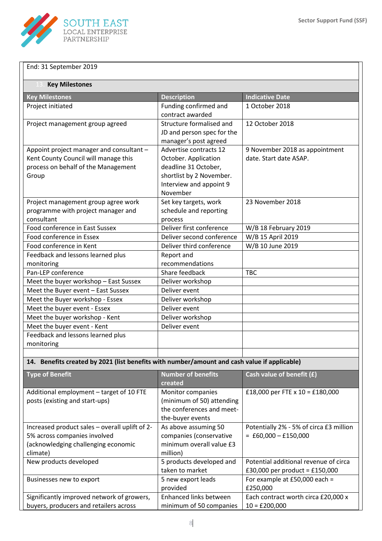

| End: 31 September 2019                                                                                                           |                                                                                                                                           |                                                          |  |  |
|----------------------------------------------------------------------------------------------------------------------------------|-------------------------------------------------------------------------------------------------------------------------------------------|----------------------------------------------------------|--|--|
| <b>Key Milestones</b>                                                                                                            |                                                                                                                                           |                                                          |  |  |
| <b>Key Milestones</b>                                                                                                            | <b>Description</b>                                                                                                                        | <b>Indicative Date</b>                                   |  |  |
| Project initiated                                                                                                                | Funding confirmed and<br>contract awarded                                                                                                 | 1 October 2018                                           |  |  |
| Project management group agreed                                                                                                  | Structure formalised and<br>JD and person spec for the<br>manager's post agreed                                                           | 12 October 2018                                          |  |  |
| Appoint project manager and consultant -<br>Kent County Council will manage this<br>process on behalf of the Management<br>Group | Advertise contracts 12<br>October. Application<br>deadline 31 October,<br>shortlist by 2 November.<br>Interview and appoint 9<br>November | 9 November 2018 as appointment<br>date. Start date ASAP. |  |  |
| Project management group agree work<br>programme with project manager and<br>consultant                                          | Set key targets, work<br>schedule and reporting<br>process                                                                                | 23 November 2018                                         |  |  |
| Food conference in East Sussex                                                                                                   | Deliver first conference                                                                                                                  | W/B 18 February 2019                                     |  |  |
| Food conference in Essex                                                                                                         | Deliver second conference                                                                                                                 | W/B 15 April 2019                                        |  |  |
| Food conference in Kent                                                                                                          | Deliver third conference                                                                                                                  | W/B 10 June 2019                                         |  |  |
| Feedback and lessons learned plus                                                                                                | Report and                                                                                                                                |                                                          |  |  |
| monitoring                                                                                                                       | recommendations                                                                                                                           |                                                          |  |  |
| Pan-LEP conference                                                                                                               | Share feedback                                                                                                                            | <b>TBC</b>                                               |  |  |
| Meet the buyer workshop - East Sussex                                                                                            | Deliver workshop                                                                                                                          |                                                          |  |  |
| Meet the Buyer event - East Sussex                                                                                               | Deliver event                                                                                                                             |                                                          |  |  |
| Meet the Buyer workshop - Essex                                                                                                  | Deliver workshop                                                                                                                          |                                                          |  |  |
| Meet the buyer event - Essex                                                                                                     | Deliver event                                                                                                                             |                                                          |  |  |
| Meet the buyer workshop - Kent                                                                                                   | Deliver workshop                                                                                                                          |                                                          |  |  |
| Meet the buyer event - Kent                                                                                                      | Deliver event                                                                                                                             |                                                          |  |  |
| Feedback and lessons learned plus<br>monitoring                                                                                  |                                                                                                                                           |                                                          |  |  |

# **14. Benefits created by 2021 (list benefits with number/amount and cash value if applicable)**

| <b>Type of Benefit</b>                         | <b>Number of benefits</b>     | Cash value of benefit (£)               |
|------------------------------------------------|-------------------------------|-----------------------------------------|
|                                                | created                       |                                         |
| Additional employment - target of 10 FTE       | Monitor companies             | £18,000 per FTE x $10 = £180,000$       |
| posts (existing and start-ups)                 | (minimum of 50) attending     |                                         |
|                                                | the conferences and meet-     |                                         |
|                                                | the-buyer events              |                                         |
| Increased product sales - overall uplift of 2- | As above assuming 50          | Potentially 2% - 5% of circa £3 million |
| 5% across companies involved                   | companies (conservative       | $=$ £60,000 $-$ £150,000                |
| (acknowledging challenging economic            | minimum overall value £3      |                                         |
| climate)                                       | million)                      |                                         |
| New products developed                         | 5 products developed and      | Potential additional revenue of circa   |
|                                                | taken to market               | £30,000 per product = £150,000          |
| Businesses new to export                       | 5 new export leads            | For example at £50,000 each =           |
|                                                | provided                      | £250,000                                |
| Significantly improved network of growers,     | <b>Enhanced links between</b> | Each contract worth circa £20,000 x     |
| buyers, producers and retailers across         | minimum of 50 companies       | $10 = £200,000$                         |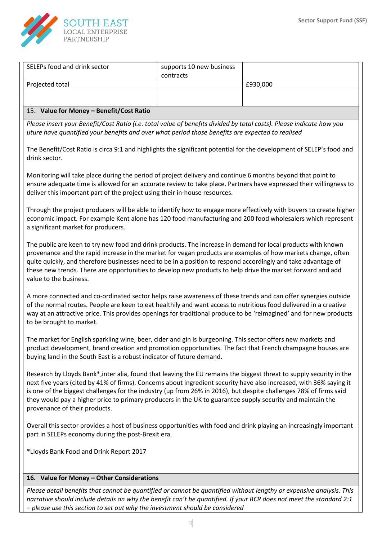

| 16. Value for Money - Other Considerations                                                                                                                                                                                                                                                                                                                                                                                                                                                                                                                                                                                             |                                       |                                                                                                                                                                                                                                   |  |
|----------------------------------------------------------------------------------------------------------------------------------------------------------------------------------------------------------------------------------------------------------------------------------------------------------------------------------------------------------------------------------------------------------------------------------------------------------------------------------------------------------------------------------------------------------------------------------------------------------------------------------------|---------------------------------------|-----------------------------------------------------------------------------------------------------------------------------------------------------------------------------------------------------------------------------------|--|
| *Lloyds Bank Food and Drink Report 2017                                                                                                                                                                                                                                                                                                                                                                                                                                                                                                                                                                                                |                                       |                                                                                                                                                                                                                                   |  |
| part in SELEPs economy during the post-Brexit era.                                                                                                                                                                                                                                                                                                                                                                                                                                                                                                                                                                                     |                                       |                                                                                                                                                                                                                                   |  |
| Research by Lloyds Bank*, inter alia, found that leaving the EU remains the biggest threat to supply security in the<br>next five years (cited by 41% of firms). Concerns about ingredient security have also increased, with 36% saying it<br>is one of the biggest challenges for the industry (up from 26% in 2016), but despite challenges 78% of firms said<br>they would pay a higher price to primary producers in the UK to guarantee supply security and maintain the<br>provenance of their products.<br>Overall this sector provides a host of business opportunities with food and drink playing an increasingly important |                                       |                                                                                                                                                                                                                                   |  |
| The market for English sparkling wine, beer, cider and gin is burgeoning. This sector offers new markets and<br>product development, brand creation and promotion opportunities. The fact that French champagne houses are<br>buying land in the South East is a robust indicator of future demand.                                                                                                                                                                                                                                                                                                                                    |                                       |                                                                                                                                                                                                                                   |  |
| A more connected and co-ordinated sector helps raise awareness of these trends and can offer synergies outside<br>of the normal routes. People are keen to eat healthily and want access to nutritious food delivered in a creative<br>way at an attractive price. This provides openings for traditional produce to be 'reimagined' and for new products<br>to be brought to market.                                                                                                                                                                                                                                                  |                                       |                                                                                                                                                                                                                                   |  |
| The public are keen to try new food and drink products. The increase in demand for local products with known<br>provenance and the rapid increase in the market for vegan products are examples of how markets change, often<br>quite quickly, and therefore businesses need to be in a position to respond accordingly and take advantage of<br>these new trends. There are opportunities to develop new products to help drive the market forward and add<br>value to the business.                                                                                                                                                  |                                       |                                                                                                                                                                                                                                   |  |
| a significant market for producers.                                                                                                                                                                                                                                                                                                                                                                                                                                                                                                                                                                                                    |                                       | Through the project producers will be able to identify how to engage more effectively with buyers to create higher<br>economic impact. For example Kent alone has 120 food manufacturing and 200 food wholesalers which represent |  |
| Monitoring will take place during the period of project delivery and continue 6 months beyond that point to<br>deliver this important part of the project using their in-house resources.                                                                                                                                                                                                                                                                                                                                                                                                                                              |                                       | ensure adequate time is allowed for an accurate review to take place. Partners have expressed their willingness to                                                                                                                |  |
| drink sector.                                                                                                                                                                                                                                                                                                                                                                                                                                                                                                                                                                                                                          |                                       | The Benefit/Cost Ratio is circa 9:1 and highlights the significant potential for the development of SELEP's food and                                                                                                              |  |
| Please insert your Benefit/Cost Ratio (i.e. total value of benefits divided by total costs). Please indicate how you<br>uture have quantified your benefits and over what period those benefits are expected to realised                                                                                                                                                                                                                                                                                                                                                                                                               |                                       |                                                                                                                                                                                                                                   |  |
| 15. Value for Money - Benefit/Cost Ratio                                                                                                                                                                                                                                                                                                                                                                                                                                                                                                                                                                                               |                                       |                                                                                                                                                                                                                                   |  |
|                                                                                                                                                                                                                                                                                                                                                                                                                                                                                                                                                                                                                                        |                                       |                                                                                                                                                                                                                                   |  |
| Projected total                                                                                                                                                                                                                                                                                                                                                                                                                                                                                                                                                                                                                        |                                       | £930,000                                                                                                                                                                                                                          |  |
| SELEPs food and drink sector                                                                                                                                                                                                                                                                                                                                                                                                                                                                                                                                                                                                           | supports 10 new business<br>contracts |                                                                                                                                                                                                                                   |  |

*Please detail benefits that cannot be quantified or cannot be quantified without lengthy or expensive analysis. This narrative should include details on why the benefit can't be quantified. If your BCR does not meet the standard 2:1 – please use this section to set out why the investment should be considered*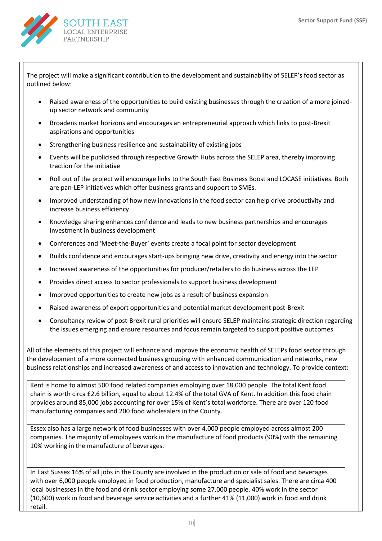

The project will make a significant contribution to the development and sustainability of SELEP's food sector as outlined below:

- Raised awareness of the opportunities to build existing businesses through the creation of a more joinedup sector network and community
- Broadens market horizons and encourages an entrepreneurial approach which links to post-Brexit aspirations and opportunities
- Strengthening business resilience and sustainability of existing jobs
- Events will be publicised through respective Growth Hubs across the SELEP area, thereby improving traction for the initiative
- Roll out of the project will encourage links to the South East Business Boost and LOCASE initiatives. Both are pan-LEP initiatives which offer business grants and support to SMEs.
- Improved understanding of how new innovations in the food sector can help drive productivity and increase business efficiency
- Knowledge sharing enhances confidence and leads to new business partnerships and encourages investment in business development
- Conferences and 'Meet-the-Buyer' events create a focal point for sector development
- Builds confidence and encourages start-ups bringing new drive, creativity and energy into the sector
- Increased awareness of the opportunities for producer/retailers to do business across the LEP
- Provides direct access to sector professionals to support business development
- Improved opportunities to create new jobs as a result of business expansion
- Raised awareness of export opportunities and potential market development post-Brexit
- Consultancy review of post-Brexit rural priorities will ensure SELEP maintains strategic direction regarding the issues emerging and ensure resources and focus remain targeted to support positive outcomes

All of the elements of this project will enhance and improve the economic health of SELEPs food sector through the development of a more connected business grouping with enhanced communication and networks, new business relationships and increased awareness of and access to innovation and technology. To provide context:

Kent is home to almost 500 food related companies employing over 18,000 people. The total Kent food chain is worth circa £2.6 billion, equal to about 12.4% of the total GVA of Kent. In addition this food chain provides around 85,000 jobs accounting for over 15% of Kent's total workforce. There are over 120 food manufacturing companies and 200 food wholesalers in the County.

Essex also has a large network of food businesses with over 4,000 people employed across almost 200 companies. The majority of employees work in the manufacture of food products (90%) with the remaining 10% working in the manufacture of beverages.

In East Sussex 16% of all jobs in the County are involved in the production or sale of food and beverages with over 6,000 people employed in food production, manufacture and specialist sales. There are circa 400 local businesses in the food and drink sector employing some 27,000 people. 40% work in the sector (10,600) work in food and beverage service activities and a further 41% (11,000) work in food and drink retail.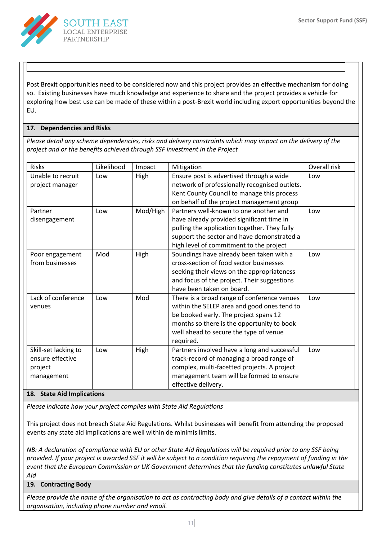

Post Brexit opportunities need to be considered now and this project provides an effective mechanism for doing so. Existing businesses have much knowledge and experience to share and the project provides a vehicle for exploring how best use can be made of these within a post-Brexit world including export opportunities beyond the EU.

# **17. Dependencies and Risks**

*Please detail any scheme dependencies, risks and delivery constraints which may impact on the delivery of the project and or the benefits achieved through SSF investment in the Project*

| <b>Risks</b>               | Likelihood | Impact   | Mitigation                                    | Overall risk |
|----------------------------|------------|----------|-----------------------------------------------|--------------|
| Unable to recruit          | Low        | High     | Ensure post is advertised through a wide      | Low          |
| project manager            |            |          | network of professionally recognised outlets. |              |
|                            |            |          | Kent County Council to manage this process    |              |
|                            |            |          | on behalf of the project management group     |              |
| Partner                    | Low        | Mod/High | Partners well-known to one another and        | Low          |
| disengagement              |            |          | have already provided significant time in     |              |
|                            |            |          | pulling the application together. They fully  |              |
|                            |            |          | support the sector and have demonstrated a    |              |
|                            |            |          | high level of commitment to the project       |              |
| Poor engagement            | Mod        | High     | Soundings have already been taken with a      | Low          |
| from businesses            |            |          | cross-section of food sector businesses       |              |
|                            |            |          | seeking their views on the appropriateness    |              |
|                            |            |          | and focus of the project. Their suggestions   |              |
|                            |            |          | have been taken on board.                     |              |
| Lack of conference         | Low        | Mod      | There is a broad range of conference venues   | Low          |
| venues                     |            |          | within the SELEP area and good ones tend to   |              |
|                            |            |          | be booked early. The project spans 12         |              |
|                            |            |          | months so there is the opportunity to book    |              |
|                            |            |          | well ahead to secure the type of venue        |              |
|                            |            |          | required.                                     |              |
| Skill-set lacking to       | Low        | High     | Partners involved have a long and successful  | Low          |
| ensure effective           |            |          | track-record of managing a broad range of     |              |
| project                    |            |          | complex, multi-facetted projects. A project   |              |
| management                 |            |          | management team will be formed to ensure      |              |
|                            |            |          | effective delivery.                           |              |
| 18. State Aid Implications |            |          |                                               |              |

*Please indicate how your project complies with State Aid Regulations*

This project does not breach State Aid Regulations. Whilst businesses will benefit from attending the proposed events any state aid implications are well within de minimis limits.

*NB: A declaration of compliance with EU or other State Aid Regulations will be required prior to any SSF being provided. If your project is awarded SSF it will be subject to a condition requiring the repayment of funding in the event that the European Commission or UK Government determines that the funding constitutes unlawful State Aid*

# **19. Contracting Body**

*Please provide the name of the organisation to act as contracting body and give details of a contact within the organisation, including phone number and email.*